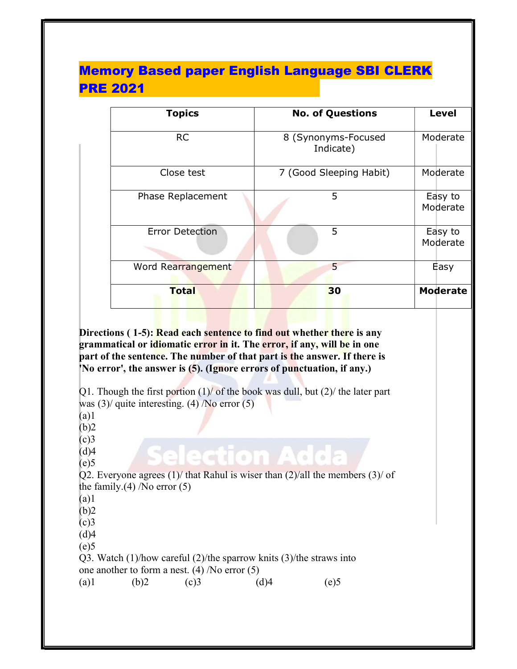# Memory Based paper English Language SBI CLERK PRE 2021

| <b>Topics</b>          | <b>No. of Questions</b>          | <b>Level</b>        |
|------------------------|----------------------------------|---------------------|
| <b>RC</b>              | 8 (Synonyms-Focused<br>Indicate) | Moderate            |
| Close test             | 7 (Good Sleeping Habit)          | Moderate            |
| Phase Replacement      | 5                                | Easy to<br>Moderate |
| <b>Error Detection</b> | 5                                | Easy to<br>Moderate |
| Word Rearrangement     | 5                                | Easy                |
| <b>Total</b>           | 30                               | <b>Moderate</b>     |

Directions (1-5): Read each sentence to find out whether there is any grammatical or idiomatic error in it. The error, if any, will be in one part of the sentence. The number of that part is the answer. If there is 'No error', the answer is (5). (Ignore errors of punctuation, if any.)

Q1. Though the first portion  $(1)$  of the book was dull, but  $(2)$  the later part was  $(3)$  quite interesting.  $(4)$  /No error  $(5)$ (a)1  $(b)2$  $(c)3$ election Add  $(d)4$  $(e)5$ Q2. Everyone agrees (1)/ that Rahul is wiser than (2)/all the members (3)/ of the family. $(4)$  /No error  $(5)$  $(a)1$  $(b)2$  $(c)3$  $(d)4$  $(e)5$ Q3. Watch (1)/how careful (2)/the sparrow knits (3)/the straws into one another to form a nest. (4) /No error (5) (a)1 (b)2 (c)3 (d)4 (e)5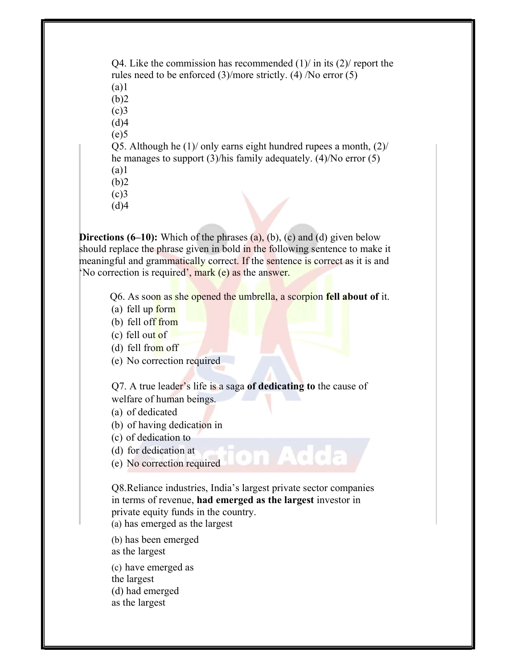Q4. Like the commission has recommended  $(1)$  in its  $(2)$  report the rules need to be enforced (3)/more strictly. (4) /No error (5) (a)1  $(b)2$  $(c)$ 3  $(d)4$  $(e)5$ Q5. Although he (1)/ only earns eight hundred rupees a month, (2)/ he manages to support (3)/his family adequately. (4)/No error (5) (a)1  $(b)2$  $(c)$ 3

 $(d)4$ 

**Directions (6–10):** Which of the phrases  $(a)$ ,  $(b)$ ,  $(c)$  and  $(d)$  given below should replace the phrase given in bold in the following sentence to make it meaningful and grammatically correct. If the sentence is correct as it is and 'No correction is required', mark (e) as the answer.

Q6. As soon as she opened the umbrella, a scorpion fell about of it.

- (a) fell up form
- (b) fell off from

(c) fell out of

(d) fell from off

(e) No correction required

Q7. A true leader's life is a saga of dedicating to the cause of welfare of human beings.

- (a) of dedicated
- (b) of having dedication in
- (c) of dedication to
- (d) for dedication at
- (e) No correction required

Q8.Reliance industries, India's largest private sector companies in terms of revenue, had emerged as the largest investor in private equity funds in the country.

(a) has emerged as the largest

(b) has been emerged as the largest

(c) have emerged as the largest

(d) had emerged

as the largest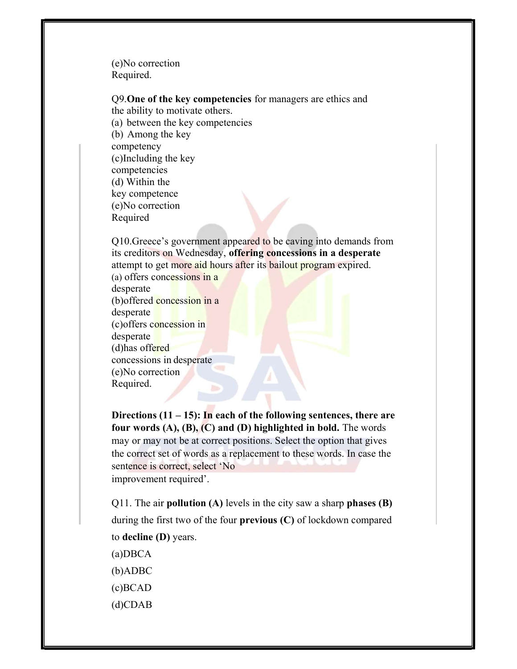(e)No correction Required.

Q9.One of the key competencies for managers are ethics and

the ability to motivate others.

(a) between the key competencies

(b) Among the key competency

(c)Including the key

competencies

(d) Within the

key competence

(e)No correction

Required

Q10.Greece's government appeared to be caving into demands from its creditors on Wednesday, offering concessions in a desperate attempt to get more aid hours after its bailout program expired. (a) offers concessions in a desperate (b)offered concession in a desperate (c)offers concession in desperate

(d)has offered concessions in desperate (e)No correction

Required.

Directions  $(11 – 15)$ : In each of the following sentences, there are four words  $(A)$ ,  $(B)$ ,  $(C)$  and  $(D)$  highlighted in bold. The words may or may not be at correct positions. Select the option that gives the correct set of words as a replacement to these words. In case the sentence is correct, select 'No improvement required'.

Q11. The air **pollution** (A) levels in the city saw a sharp **phases** (B) during the first two of the four previous (C) of lockdown compared to decline (D) years.

- (a)DBCA (b)ADBC
- (c)BCAD
- (d)CDAB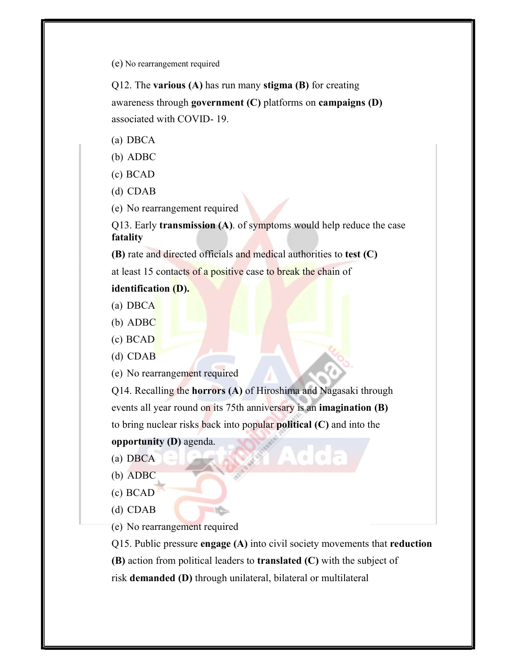(e) No rearrangement required

Q12. The various  $(A)$  has run many stigma  $(B)$  for creating awareness through government (C) platforms on campaigns (D) associated with COVID- 19.

- (a) DBCA
- (b) ADBC
- (c) BCAD
- (d) CDAB
- (e) No rearrangement required

Q13. Early transmission (A). of symptoms would help reduce the case fatality

(B) rate and directed officials and medical authorities to test (C)

at least 15 contacts of a positive case to break the chain of

identification (D).

- (a) DBCA
- (b) ADBC
- (c) BCAD
- (d) CDAB

(e) No rearrangement required

Q14. Recalling the horrors (A) of Hiroshima and Nagasaki through events all year round on its 75th anniversary is an imagination (B) to bring nuclear risks back into popular political (C) and into the

opportunity (D) agenda.

- (a) DBCA
- (b) ADBC
- (c) BCAD
- (d) CDAB

(e) No rearrangement required

Q15. Public pressure engage (A) into civil society movements that reduction

 $(B)$  action from political leaders to **translated**  $(C)$  with the subject of

risk demanded (D) through unilateral, bilateral or multilateral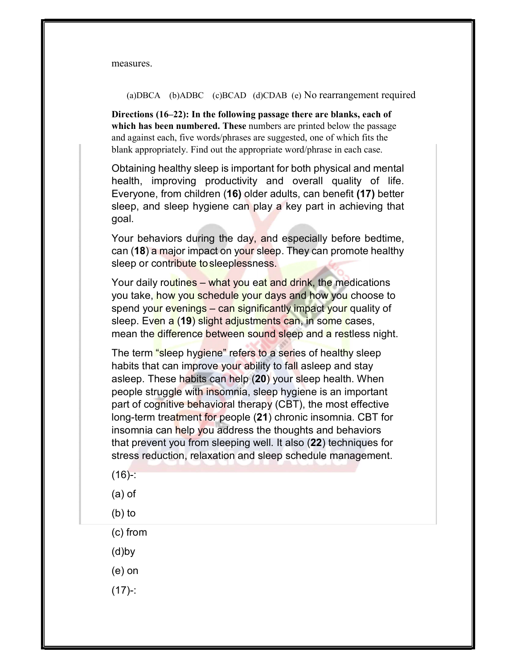measures.

(a)DBCA (b)ADBC (c)BCAD (d)CDAB (e) No rearrangement required

Directions (16–22): In the following passage there are blanks, each of which has been numbered. These numbers are printed below the passage and against each, five words/phrases are suggested, one of which fits the blank appropriately. Find out the appropriate word/phrase in each case.

Obtaining healthy sleep is important for both physical and mental health, improving productivity and overall quality of life. Everyone, from children (16) older adults, can benefit (17) better sleep, and sleep hygiene can play a key part in achieving that goal.

Your behaviors during the day, and especially before bedtime, can (18) a major impact on your sleep. They can promote healthy sleep or contribute to sleeplessness.

Your daily routines – what you eat and drink, the medications you take, how you schedule your days and how you choose to spend your evenings – can significantly impact your quality of sleep. Even a (19) slight adjustments can, in some cases, mean the difference between sound sleep and a restless night.

The term "sleep hygiene" refers to a series of healthy sleep habits that can improve your ability to fall asleep and stay asleep. These habits can help (20) your sleep health. When people struggle with insomnia, sleep hygiene is an important part of cognitive behavioral therapy (CBT), the most effective long-term treatment for people (21) chronic insomnia. CBT for insomnia can help you address the thoughts and behaviors that prevent you from sleeping well. It also (22) techniques for stress reduction, relaxation and sleep schedule management.

- $(16)$ -:
- (a) of
- (b) to
- (c) from
- (d)by
- (e) on
- $(17) -$ :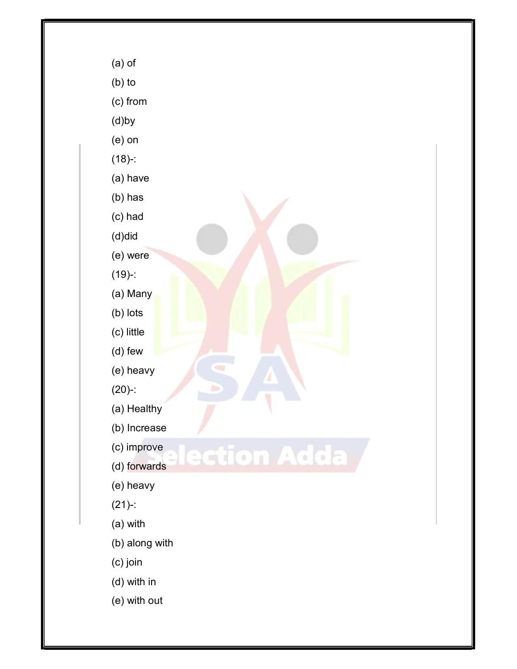

(b) to

(c) from

(d)by

(e) on

(18)-:

(a) have

(b) has

(c) had

(d)did

(e) were

(19)-:

(a) Many

(b) lots

(c) little

(d) few

(e) heavy

(20)-:

(a) Healthy

(b) Increase

(c) improve

ction Adda

(d) forwards

(e) heavy

(21)-:

(a) with

(b) along with

(c) join

(d) with in

(e) with out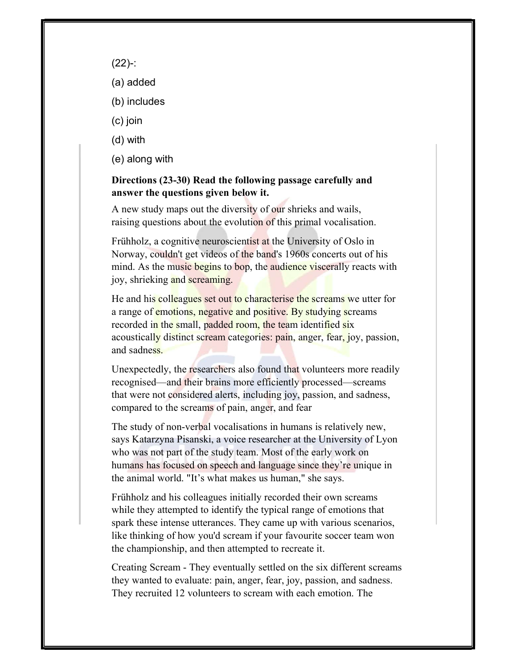- (22)-:
- (a) added
- (b) includes
- (c) join
- (d) with
- (e) along with

# Directions (23-30) Read the following passage carefully and answer the questions given below it.

A new study maps out the diversity of our shrieks and wails, raising questions about the evolution of this primal vocalisation.

Frühholz, a cognitive neuroscientist at the University of Oslo in Norway, couldn't get videos of the band's 1960s concerts out of his mind. As the music begins to bop, the audience viscerally reacts with joy, shrieking and screaming.

He and his colleagues set out to characterise the screams we utter for a range of emotions, negative and positive. By studying screams recorded in the small, padded room, the team identified six acoustically distinct scream categories: pain, anger, fear, joy, passion, and sadness.

Unexpectedly, the researchers also found that volunteers more readily recognised—and their brains more efficiently processed—screams that were not considered alerts, including joy, passion, and sadness, compared to the screams of pain, anger, and fear

The study of non-verbal vocalisations in humans is relatively new, says Katarzyna Pisanski, a voice researcher at the University of Lyon who was not part of the study team. Most of the early work on humans has focused on speech and language since they're unique in the animal world. "It's what makes us human," she says.

Frühholz and his colleagues initially recorded their own screams while they attempted to identify the typical range of emotions that spark these intense utterances. They came up with various scenarios, like thinking of how you'd scream if your favourite soccer team won the championship, and then attempted to recreate it.

Creating Scream - They eventually settled on the six different screams they wanted to evaluate: pain, anger, fear, joy, passion, and sadness. They recruited 12 volunteers to scream with each emotion. The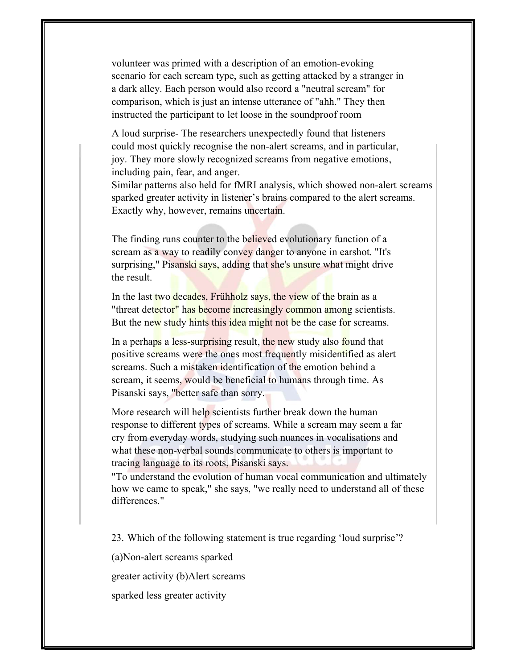volunteer was primed with a description of an emotion-evoking scenario for each scream type, such as getting attacked by a stranger in a dark alley. Each person would also record a "neutral scream" for comparison, which is just an intense utterance of "ahh." They then instructed the participant to let loose in the soundproof room

A loud surprise- The researchers unexpectedly found that listeners could most quickly recognise the non-alert screams, and in particular, joy. They more slowly recognized screams from negative emotions, including pain, fear, and anger.

Similar patterns also held for fMRI analysis, which showed non-alert screams sparked greater activity in listener's brains compared to the alert screams. Exactly why, however, remains uncertain.

The finding runs counter to the believed evolutionary function of a scream as a way to readily convey danger to anyone in earshot. "It's surprising," Pisanski says, adding that she's unsure what might drive the result.

In the last two decades, Frühholz says, the view of the brain as a "threat detector" has become increasingly common among scientists. But the new study hints this idea might not be the case for screams.

In a perhaps a less-surprising result, the new study also found that positive screams were the ones most frequently misidentified as alert screams. Such a mistaken identification of the emotion behind a scream, it seems, would be beneficial to humans through time. As Pisanski says, "better safe than sorry.

More research will help scientists further break down the human response to different types of screams. While a scream may seem a far cry from everyday words, studying such nuances in vocalisations and what these non-verbal sounds communicate to others is important to tracing language to its roots, Pisanski says.

"To understand the evolution of human vocal communication and ultimately how we came to speak," she says, "we really need to understand all of these differences."

23. Which of the following statement is true regarding 'loud surprise'?

(a)Non-alert screams sparked

greater activity (b)Alert screams

sparked less greater activity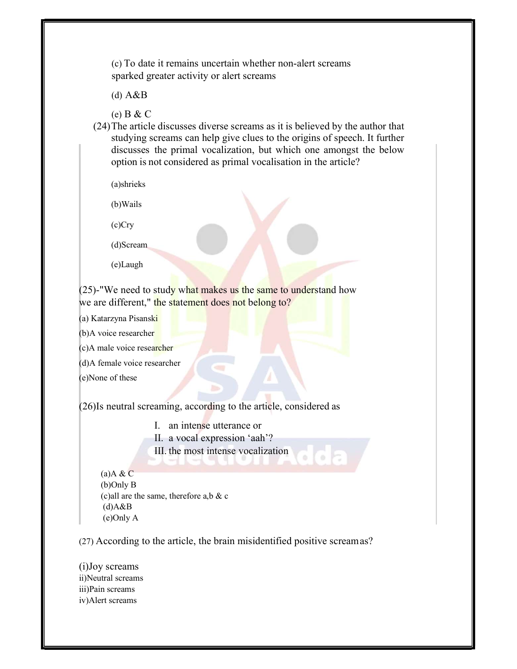(c) To date it remains uncertain whether non-alert screams sparked greater activity or alert screams

(d) A&B

(e) B & C

(24)The article discusses diverse screams as it is believed by the author that studying screams can help give clues to the origins of speech. It further discusses the primal vocalization, but which one amongst the below option is not considered as primal vocalisation in the article?

(a)shrieks

(b)Wails

(c)Cry

(d)Scream

(e)Laugh

 $(25)$ -"We need to study what makes us the same to understand how we are different," the statement does not belong to?

(a) Katarzyna Pisanski

(b) A voice researcher

(c)A male voice researcher

(d)A female voice researcher

(e)None of these

(26)Is neutral screaming, according to the article, considered as

I. an intense utterance or

II. a vocal expression 'aah'?

III. the most intense vocalization

 $(a)$ A & C (b)Only B (c)all are the same, therefore a,b & c  $(d)A&B$ (e)Only A

(27) According to the article, the brain misidentified positive scream as?

(i)Joy screams ii)Neutral screams iii)Pain screams iv)Alert screams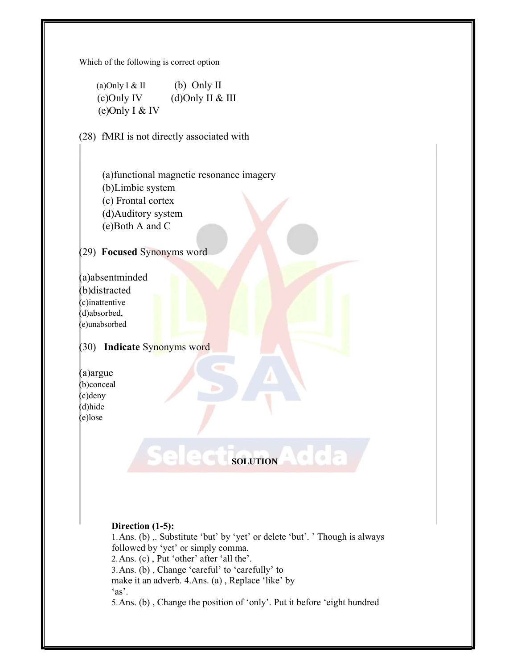Which of the following is correct option

(a) Only I & II (b) Only II  $(c)$ Only IV (d)Only II & III (e)Only I & IV

(28) fMRI is not directly associated with

 (a)functional magnetic resonance imagery (b)Limbic system (c) Frontal cortex (d)Auditory system (e)Both A and C

(29) Focused Synonyms word

(a)absentminded (b)distracted (c)inattentive (d)absorbed, (e)unabsorbed

I

# (30) Indicate Synonyms word

(a)argue (b)conceal (c)deny (d)hide (e)lose

## Direction (1-5):

1.Ans. (b) ,. Substitute 'but' by 'yet' or delete 'but'. ' Though is always followed by 'yet' or simply comma. 2.Ans. (c) , Put 'other' after 'all the'. 3.Ans. (b) , Change 'careful' to 'carefully' to make it an adverb. 4.Ans. (a) , Replace 'like' by 'as'.

SOLUTION

5.Ans. (b) , Change the position of 'only'. Put it before 'eight hundred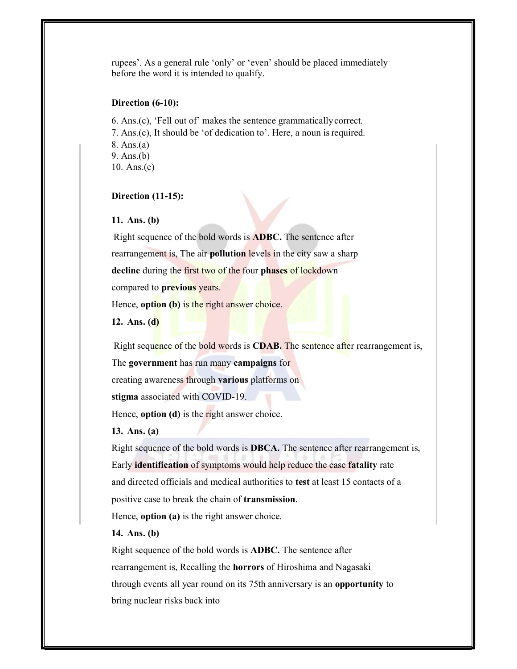rupees'. As a general rule 'only' or 'even' should be placed immediately before the word it is intended to qualify.

#### Direction (6-10):

6. Ans.(c), 'Fell out of' makes the sentence grammatically correct. 7. Ans.(c), It should be 'of dedication to'. Here, a noun is required. 8. Ans.(a) 9. Ans.(b) 10. Ans.(e)

## Direction (11-15):

#### 11. Ans. (b)

Right sequence of the bold words is ADBC. The sentence after rearrangement is, The air **pollution** levels in the city saw a sharp decline during the first two of the four phases of lockdown compared to previous years.

Hence, **option** (b) is the right answer choice.

12. Ans. (d)

Right sequence of the bold words is **CDAB.** The sentence after rearrangement is,

The government has run many campaigns for

creating awareness through various platforms on

stigma associated with COVID-19.

Hence, **option** (d) is the right answer choice.

13. Ans. (a)

Right sequence of the bold words is DBCA. The sentence after rearrangement is, Early identification of symptoms would help reduce the case fatality rate and directed officials and medical authorities to test at least 15 contacts of a positive case to break the chain of transmission.

Hence, **option** (a) is the right answer choice.

## 14. Ans. (b)

Right sequence of the bold words is ADBC. The sentence after rearrangement is, Recalling the horrors of Hiroshima and Nagasaki through events all year round on its 75th anniversary is an **opportunity** to bring nuclear risks back into